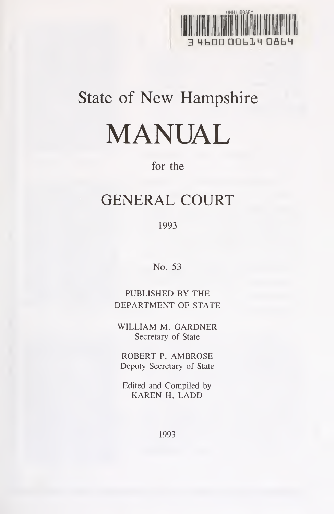

# State of New Hampshire MANUAL

# for the

# GENERAL COURT

1993

No. 53

PUBLISHED BY THE DEPARTMENT OF STATE

WILLIAM M. GARDNER Secretary of State

ROBERT P. AMBROSE Deputy Secretary of State

Edited and Compiled by KAREN H. LADD

1993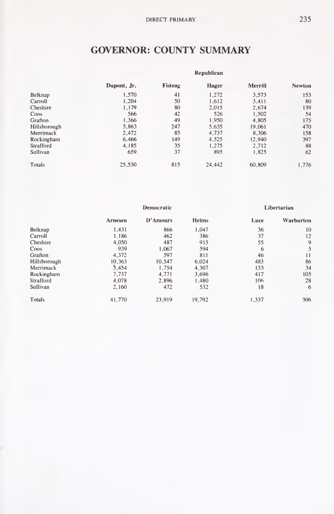# GOVERNOR: COUNTY SUMMARY

|              | Republican  |         |        |         |               |  |  |
|--------------|-------------|---------|--------|---------|---------------|--|--|
|              | Dupont, Jr. | Fisteag | Hager  | Merrill | <b>Newton</b> |  |  |
| Belknap      | 1,570       | 41      | 1,272  | 3.573   | 153           |  |  |
| Carroll      | 1.204       | 50      | 1.612  | 3.411   | 80            |  |  |
| Cheshire     | 1.179       | 80      | 2,015  | 2.674   | 139           |  |  |
| Coos         | 566         | 42      | 526    | 1.502   | 54            |  |  |
| Grafton      | 1.366       | 49      | 1.950  | 4.805   | 175           |  |  |
| Hillsborough | 5.863       | 247     | 5,635  | 19,061  | 470           |  |  |
| Merrimack    | 2.472       | 85      | 4,737  | 8,306   | 158           |  |  |
| Rockingham   | 6,466       | 149     | 4.525  | 12.940  | 397           |  |  |
| Strafford    | 4.185       | 35      | 1.275  | 2,712   | 88            |  |  |
| Sullivan     | 659         | 37      | 895    | 1.825   | 62            |  |  |
| Totals       | 25,530      | 815     | 24,442 | 60,809  | 1.776         |  |  |

|              | Democratic |          |        |       | Libertarian     |
|--------------|------------|----------|--------|-------|-----------------|
|              | Arnesen    | D'Amours | Helms  | Luce  | Warburton       |
| Belknap      | 1.431      | 866      | 1.047  | 36    | 10              |
| Carroll      | 1,186      | 462      | 386    | 37    | 12              |
| Cheshire     | 4,050      | 487      | 915    | 55    | 9               |
| Coos         | 939        | 1.067    | 594    | 6     | 5               |
| Grafton      | 4,372      | 597      | 811    | 46    | $\overline{11}$ |
| Hillsborough | 10.363     | 10.547   | 6.024  | 483   | 86              |
| Merrimack    | 5.454      | 1.754    | 4,307  | 133   | 34              |
| Rockingham   | 7,737      | 4,771    | 3,696  | 417   | 105             |
| Strafford    | 4.078      | 2.896    | 1.480  | 106   | 28              |
| Sullivan     | 2,160      | 472      | 532    | 18    | 6               |
| Totals       | 41.770     | 23.919   | 19,792 | 1,337 | 306             |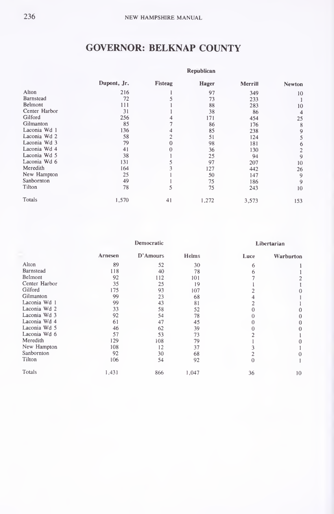# GOVERNOR: BELKNAP COUNTY

|               | <b>Kepublican</b> |         |       |         |               |  |  |
|---------------|-------------------|---------|-------|---------|---------------|--|--|
|               | Dupont, Jr.       | Fisteag | Hager | Merrill | <b>Newton</b> |  |  |
| Alton         | 216               |         | 97    | 349     | 10            |  |  |
| Barnstead     | 72                |         | 73    | 233     |               |  |  |
| Belmont       | 111               |         | 88    | 283     | 10            |  |  |
| Center Harbor | 31                |         | 38    | 86      | 4             |  |  |
| Gilford       | 256               |         | 171   | 454     | 25            |  |  |
| Gilmanton     | 85                |         | 86    | 176     | 8             |  |  |
| Laconia Wd 1  | 136               |         | 85    | 238     | 9             |  |  |
| Laconia Wd 2  | 58                |         | 51    | 124     | 5             |  |  |
| Laconia Wd 3  | 79                |         | 98    | 181     | 6             |  |  |
| Laconia Wd 4  | 41                |         | 36    | 130     | 2             |  |  |
| Laconia Wd 5  | 38                |         | 25    | 94      | 9             |  |  |
| Laconia Wd 6  | 131               |         | 97    | 207     | 10            |  |  |
| Meredith      | 164               |         | 127   | 442     | 26            |  |  |
| New Hampton   | 25                |         | 50    | 147     | 9             |  |  |
| Sanbornton    | 49                |         | 75    | 186     | 9             |  |  |
| Tilton        | 78                | 5       | 75    | 243     | 10            |  |  |
| Totals        | 1,570             | 41      | 1,272 | 3,573   | 153           |  |  |

|               | Democratic |          |       |      | Libertarian |
|---------------|------------|----------|-------|------|-------------|
|               | Arnesen    | D'Amours | Helms | Luce | Warburton   |
| Alton         | 89         | 52       | 30    | 6    |             |
| Barnstead     | 118        | 40       | 78    | 6    |             |
| Belmont       | 92         | 112      | 101   |      |             |
| Center Harbor | 35         | 25       | 19    |      |             |
| Gilford       | 175        | 93       | 107   |      |             |
| Gilmanton     | 99         | 23       | 68    |      |             |
| Laconia Wd 1  | 99         | 43       | 81    |      |             |
| Laconia Wd 2  | 33         | 58       | 52    |      | 0           |
| Laconia Wd 3  | 92         | 54       | 78    |      | $\Omega$    |
| Laconia Wd 4  | 61         | 47       | 45    |      | 0           |
| Laconia Wd 5  | 46         | 62       | 39    |      | 0           |
| Laconia Wd 6  | 57         | 53       | 73    |      |             |
| Meredith      | 129        | 108      | 79    |      | 0           |
| New Hampton   | 108        | 12       | 37    |      |             |
| Sanbornton    | 92         | 30       | 68    |      | $\Omega$    |
| Tilton        | 106        | 54       | 92    | Ω    |             |
| Totals        | 1,431      | 866      | 1,047 | 36   | 10          |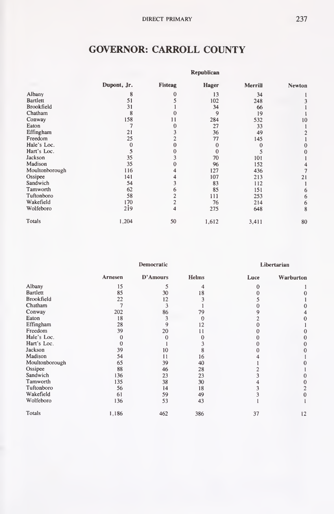# GOVERNOR: CARROLL COUNTY

|                   |             |          | Republican   |          |                |
|-------------------|-------------|----------|--------------|----------|----------------|
|                   | Dupont, Jr. | Fisteag  | <b>Hager</b> | Merrill  | <b>Newton</b>  |
| Albany            | 8           | $\Omega$ | 13           | 34       |                |
| <b>Bartlett</b>   | 51          |          | 102          | 248      |                |
| <b>Brookfield</b> | 31          |          | 34           | 66       |                |
| Chatham           | 8           |          | 9            | 19       |                |
| Conway            | 158         | 11       | 284          | 532      | 10             |
| Eaton             |             |          | 27           | 33       |                |
| Effingham         | 21          |          | 36           | 49       | $\overline{2}$ |
| Freedom           | 25          |          | 77           | 145      |                |
| Hale's Loc.       | $\Omega$    |          | $\theta$     | $\Omega$ |                |
| Hart's Loc.       | 5           |          | $\Omega$     |          | 0              |
| Jackson           | 35          |          | 70           | 101      |                |
| Madison           | 35          |          | 96           | 152      |                |
| Moultonborough    | 116         |          | 127          | 436      | 7              |
| Ossipee           | 141         |          | 107          | 213      | 21             |
| Sandwich          | 54          |          | 83           | 112      |                |
| Tamworth          | 62          |          | 85           | 151      | 6              |
| Tuftonboro        | 58          |          | 111          | 253      | 6              |
| Wakefield         | 170         |          | 76           | 214      | 6              |
| Wolfeboro         | 2i9         | 4        | 275          | 648      | 8              |
| Totals            | 1,204       | 50       | 1,612        | 3,411    | 80             |

|                   |                | Democratic    |              |      | Libertarian |
|-------------------|----------------|---------------|--------------|------|-------------|
|                   | Arnesen        | D'Amours      | <b>Helms</b> | Luce | Warburton   |
| Albany            | 15             | 5             | 4            |      |             |
| Bartlett          | 85             | 30            | 18           |      |             |
| <b>Brookfield</b> | 22             | 12            |              |      |             |
| Chatham           | $\overline{7}$ | 3             |              |      | 0           |
| Conway            | 202            | 86            | 79           |      | 4           |
| Eaton             | 18             | 3             | $\theta$     |      | 0           |
| Effingham         | 28             | 9             | 12           |      |             |
| Freedom           | 39             | 20            | 11           |      | 0           |
| Hale's Loc.       | 0              | 0             |              |      |             |
| Hart's Loc.       | 0              |               | 3            |      |             |
| Jackson           | 39             | 10            | 8            |      |             |
| Madison           | 54             | $\mathbf{11}$ | 16           |      |             |
| Moultonborough    | 65             | 39            | 40           |      |             |
| Ossipee           | 88             | 46            | 28           |      |             |
| Sandwich          | 136            | 23            | 23           |      |             |
| Tamworth          | 135            | 38            | 30           |      | 0           |
| Tuftonboro        | 56             | 14            | 18           |      | 2           |
| Wakefield         | 61             | 59            | 49           |      | $\bf{0}$    |
| Wolfeboro         | 136            | 53            | 43           |      |             |
| Totals            | 1,186          | 462           | 386          | 37   | 12          |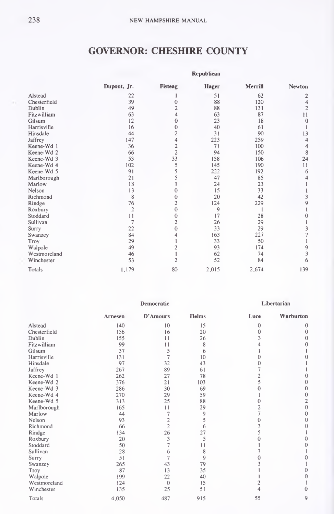#### GOVERNOR: CHESHIRE COUNTY

|              | Republican              |                         |              |         |                |  |  |  |
|--------------|-------------------------|-------------------------|--------------|---------|----------------|--|--|--|
|              | Dupont, Jr.             | Fisteag                 | Hager        | Merrill | Newton         |  |  |  |
| Alstead      | 22                      |                         | 51           | 62      | 2              |  |  |  |
| Chesterfield | 39                      | $\theta$                | 88           | 120     | 4              |  |  |  |
| Dublin       | 49                      | $\overline{c}$          | 88           | 131     | $\overline{c}$ |  |  |  |
| Fitzwilliam  | 63                      |                         | 63           | 87      | 11             |  |  |  |
| Gilsum       | 12                      | $\Omega$                | 23           | 18      | $\theta$       |  |  |  |
| Harrisville  | 16                      | $\bf{0}$                | 40           | 61      |                |  |  |  |
| Hinsdale     | 44                      | $\overline{c}$          | 31           | 90      | 13             |  |  |  |
| Jaffrey      | 147                     | 4                       | 223          | 259     | 4              |  |  |  |
| Keene-Wd 1   | 36                      | $\overline{\mathbf{c}}$ | 71           | 100     | 4              |  |  |  |
| Keene-Wd 2   | 66                      | $\overline{c}$          | 94           | 150     | $\,$ 8 $\,$    |  |  |  |
| Keene-Wd 3   | 53                      | 33                      | 158          | 106     | 24             |  |  |  |
| Keene-Wd 4   | 102                     | 5                       | 145          | 190     | 11             |  |  |  |
| Keene-Wd 5   | 91                      | 5                       | 222          | 192     | 6              |  |  |  |
| Marlborough  | 21                      | 5                       | 47           | 85      | 4              |  |  |  |
| Marlow       | 18                      |                         | 24           | 23      |                |  |  |  |
| Nelson       | 13                      | 0                       | 15           | 33      |                |  |  |  |
| Richmond     | 8                       | $\theta$                | 20           | 42      | 3              |  |  |  |
| Rindge       | 76                      | $\overline{2}$          | 124          | 229     | 9              |  |  |  |
| Roxbury      | $\overline{\mathbf{c}}$ | $\theta$                | $\mathbf{Q}$ |         |                |  |  |  |
| Stoddard     | 11                      | $\theta$                | 17           | 28      | $\bf{0}$       |  |  |  |
| Sullivan     | $\overline{7}$          | $\overline{2}$          | 26           | 29      | ı              |  |  |  |
| Surry        | 22                      | $\theta$                | 33           | 29      | 3              |  |  |  |
| Swanzey      | 84                      |                         | 163          | 227     | $\overline{7}$ |  |  |  |
| Troy         | 29                      |                         | 33           | 50      | 1              |  |  |  |
| Walpole      | 49                      | $\overline{2}$          | 93           | 174     |                |  |  |  |
| Westmoreland | 46                      |                         | 62           | 74      | $\frac{9}{3}$  |  |  |  |
| Winchester   | 53                      | $\overline{2}$          | 52           | 84      | 6              |  |  |  |
| Totals       | 1,179                   | 80                      | 2,015        | 2,674   | 139            |  |  |  |

|              | Democratic |                |       | Libertarian    |                |
|--------------|------------|----------------|-------|----------------|----------------|
|              | Arnesen    | D'Amours       | Helms | Luce           | Warburton      |
| Alstead      | 140        | 10             | 15    | $\bf{0}$       | $\theta$       |
| Chesterfield | 156        | 16             | 20    | 0              | $\Omega$       |
| Dublin       | 155        | 11             | 26    | 3              | 0              |
| Fitzwilliam  | 99         | 11             | 8     |                | 0              |
| Gilsum       | 37         | 5              | 6     |                |                |
| Harrisville  | 131        | $\overline{7}$ | 10    | n              | 0              |
| Hinsdale     | 97         | 32             | 43    | 0              |                |
| Jaffrey      | 267        | 89             | 61    |                |                |
| Keene-Wd 1   | 262        | 27             | 78    | $\overline{2}$ | 0              |
| Keene-Wd 2   | 376        | 21             | 103   | 5              | 0              |
| Keene-Wd 3   | 286        | 30             | 69    |                | $\theta$       |
| Keene-Wd 4   | 270        | 29             | 59    |                | $\mathbf{0}$   |
| Keene-Wd 5   | 313        | 25             | 88    |                | $\overline{c}$ |
| Marlborough  | 165        | 11             | 29    | $\overline{c}$ | $\overline{0}$ |
| Marlow       | 44         | $\overline{7}$ | 9     | 7              | $\theta$       |
| Nelson       | 93         | $\overline{c}$ | 5     | 0              | 0              |
| Richmond     | 66         | $\overline{2}$ | 6     | 3              | $\theta$       |
| Rindge       | 134        | 26             | 27    | 5              |                |
| Roxbury      | 20         | 3              | 5     | O              | 0              |
| Stoddard     | 50         | 7              | 11    |                | $\theta$       |
| Sullivan     | 28         | 6              | 8     | 3              |                |
| Surry        | 51         | $\overline{7}$ | 9     | 0              | 0              |
| Swanzey      | 265        | 43             | 79    | 3              |                |
| Troy         | 87         | 13             | 35    |                | 0              |
| Walpole      | 199        | 22             | 40    |                | $\theta$       |
| Westmoreland | 124        | $\theta$       | 15    | $\overline{2}$ |                |
| Winchester   | 135        | 25             | 51    | 4              | $\Omega$       |
| Totals       | 4,050      | 487            | 915   | 55             | 9              |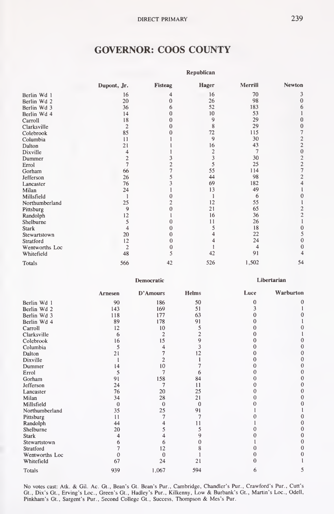#### GOVERNOR: COOS COUNTY

|                |                |          | <b>Republican</b>       |                |                                            |
|----------------|----------------|----------|-------------------------|----------------|--------------------------------------------|
|                | Dupont, Jr.    | Fisteag  | Hager                   | Merrill        | Newton                                     |
| Berlin Wd 1    | 16             | 4        | 16                      | 70             | 3                                          |
| Berlin Wd 2    | 20             | $\Omega$ | 26                      | 98             | $\mathbf{0}$                               |
| Berlin Wd 3    | 36             | 6        | 52                      | 183            | 6                                          |
| Berlin Wd 4    | 14             | O        | 10                      | 53             |                                            |
| Carroll        | 18             | $\Omega$ | 9                       | 29             | 0                                          |
| Clarksville    | $\overline{c}$ | Ω        | 8                       | 29             | $\mathbf{0}$                               |
| Colebrook      | 85             |          | 72                      | 115            | $\overline{7}$                             |
| Columbia       | 11             |          | 9                       | 30             | $\frac{2}{2}$                              |
| Dalton         | 21             |          | 16                      | 43             |                                            |
| Dixville       | 4              |          | $\overline{\mathbf{c}}$ | $\overline{7}$ | $\overline{0}$                             |
| Dummer         | $\overline{c}$ |          | 3                       | 30             | $\begin{array}{c} 2 \\ 2 \\ 7 \end{array}$ |
| Errol          | $\overline{7}$ |          | 5                       | 25             |                                            |
| Gorham         | 66             |          | 55                      | 114            |                                            |
| Jefferson      | 26             | 5        | 44                      | 98             | $\overline{2}$                             |
| Lancaster      | 76             |          | 69                      | 182            | 4                                          |
| Milan          | 24             |          | 13                      | 49             |                                            |
| Millsfield     | $\mathbf{1}$   |          | 1                       | 6              | 0                                          |
| Northumberland | 25             |          | 12                      | 55             |                                            |
| Pittsburg      | 9              |          | 21                      | 65             | $\overline{c}$                             |
| Randolph       | 12             |          | 16                      | 36             | $\overline{c}$                             |
| Shelburne      | 5              |          | 11                      | 26             | $\mathbf{1}$                               |
| <b>Stark</b>   | 4              | $\Omega$ | 5                       | 18             | $\mathbf{0}$                               |
| Stewartstown   | 20             | $\Omega$ | 4                       | 22             | 5                                          |
| Stratford      | 12             | 0        |                         | 24             | $\theta$                                   |
| Wentworths Loc | $\overline{c}$ | 0        |                         | $\overline{4}$ | 0                                          |
| Whitefield     | 48             | 5        | 42                      | 91             |                                            |
| Totals         | 566            | 42       | 526                     | 1,502          | 54                                         |
|                |                |          |                         |                |                                            |

Democratic

Libertarian

|                | Arnesen  | D'Amours       | <b>Helms</b>   | Luce | Warburton |
|----------------|----------|----------------|----------------|------|-----------|
| Berlin Wd 1    | 90       | 186            | 50             | O    | 0         |
| Berlin Wd 2    | 143      | 169            | 51             |      |           |
| Berlin Wd 3    | 118      | 177            | 63             |      |           |
| Berlin Wd 4    | 89       | 178            | 91             |      |           |
| Carroll        | 12       | 10             | 5              |      |           |
| Clarksville    | 6        | $\overline{c}$ | $\overline{c}$ |      |           |
| Colebrook      | 16       | 15             | 9              |      |           |
| Columbia       |          |                | 3              |      |           |
| Dalton         | 21       |                | 12             |      |           |
| Dixville       |          |                |                |      |           |
| Dummer         | 14       | 10             |                |      |           |
| Errol          |          |                | 6              |      |           |
| Gorham         | 91       | 158            | 84             |      |           |
| Jefferson      | 24       |                | 11             |      |           |
| Lancaster      | 76       | 20             | 25             |      |           |
| Milan          | 34       | 28             | 21             |      |           |
| Millsfield     | $\Omega$ | $\overline{0}$ | 0              |      |           |
| Northumberland | 35       | 25             | 91             |      |           |
| Pittsburg      | 11       | 7              |                |      |           |
| Randolph       | 44       |                | 11             |      |           |
| Shelburne      | 20       |                |                |      |           |
| <b>Stark</b>   |          |                | g              |      |           |
| Stewartstown   |          |                |                |      |           |
| Stratford      |          | 12             |                |      |           |
| Wentworths Loc |          | $\Omega$       |                |      |           |
| Whitefield     | 67       | 24             | 21             |      |           |
| Totals         | 939      | 1,067          | 594            | 6    | 5         |

No votes cast: Atk. & Gil. Ac. Gt., Bean's Gt. Bean's Pur., Cambridge, Chandler's Pur., Crawford's Pur., Cutt's<br>Gt., Dix's Gt., Erving's Loc., Green's Gt., Hadley's Pur., Kilkenny, Low & Burbank's Gt., Martin's Loc., Odell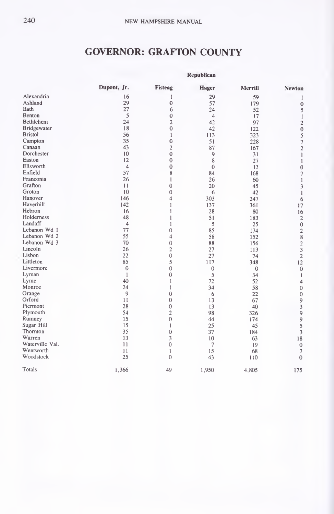# GOVERNOR: GRAFTON COUNTY

|                    |                |                | керионсан      |          |                                                 |
|--------------------|----------------|----------------|----------------|----------|-------------------------------------------------|
|                    | Dupont, Jr.    | Fisteag        | Hager          | Merrill  | <b>Newton</b>                                   |
| Alexandria         | 16             | I              | 29             | 59       | 1                                               |
| Ashland            | 29             | $\mathbf{0}$   | 57             | 179      | $\mathbf{0}$                                    |
| Bath               | 27             | 6              | 24             | 52       | 5                                               |
| Benton             | 5              | $\mathbf{0}$   | $\overline{4}$ | 17       | $\mathbf{I}$                                    |
| Bethlehem          | 24             | $\overline{c}$ | 42             | 97       | $\mathbf 2$                                     |
| <b>Bridgewater</b> | 18             | $\overline{0}$ | 42             | 122      | $\boldsymbol{0}$                                |
| <b>Bristol</b>     | 56             | 1              | 113            | 323      | 5                                               |
| Campton            | 35             | $\mathbf 0$    | 51             | 228      | $\overline{7}$                                  |
| Canaan             | 43             | $\overline{2}$ | 87             | 167      | $\overline{\mathbf{c}}$                         |
| Dorchester         | 10             | $\mathbf{0}$   | 9              | 31       | $\mathbf{I}$                                    |
| Easton             | 12             | $\overline{0}$ | 8              | 27       | 1                                               |
| Ellsworth          | $\overline{4}$ | $\mathbf{0}$   | $\mathbf{0}$   | 13       | $\mathbf{0}$                                    |
| Enfield            | 57             | 8              | 84             | 168      | $\overline{\mathcal{I}}$                        |
| Franconia          | 26             | 1              | 26             | 60       | $\mathbf{1}$                                    |
| Grafton            | 11             | 0              | 20             | 45       | 3                                               |
| Groton             | 10             | 0              | 6              | 42       | $\mathbf{1}$                                    |
| Hanover            | 146            | 4              | 303            | 247      | 6                                               |
| Haverhill          | 142            | 1              | 137            | 361      | 17                                              |
| Hebron             | 16             |                | 28             | 80       | 16                                              |
| Holderness         | 48             | 1              | 51             | 183      | $\sqrt{2}$                                      |
| Landaff            | $\overline{4}$ | 1              | 5              | 25       | $\bf{0}$                                        |
| Lebanon Wd 1       | 77             | $\bf{0}$       | 85             | 174      | $\sqrt{2}$                                      |
| Lebanon Wd 2       | 55             | 4              | 58             | 152      |                                                 |
| Lebanon Wd 3       | 70             | $\mathbf{0}$   | 88             | 156      |                                                 |
| Lincoln            | 26             | $\overline{c}$ | 27             | 113      | $\begin{array}{c} 8 \\ 2 \\ 3 \\ 2 \end{array}$ |
| Lisbon             | 22             | $\overline{0}$ | 27             | 74       |                                                 |
| Littleton          | 85             | 5              | 117            | 348      | 12                                              |
| Livermore          | $\mathbf{0}$   | $\mathbf{0}$   | $\theta$       | $\theta$ | $\boldsymbol{0}$                                |
| Lyman              | 1              | $\mathbf{0}$   | 5              | 34       | $\mathbf{1}$                                    |
| Lyme               | 40             | 1              | 72             | 52       | $\overline{4}$                                  |
| Monroe             | 24             | 1              | 34             | 58       | $\mathbf{0}$                                    |
| Orange             | $\overline{9}$ | $\mathbf{0}$   | 6              | 22       | $\mathbf{0}$                                    |
| Orford             | 11             | 0              | 13             | 67       |                                                 |
| Piermont           | 28             | $\mathbf{0}$   | 13             | 40       | $\begin{array}{c} 9 \\ 3 \\ 9 \end{array}$      |
| Plymouth           | 54             | $\overline{c}$ | 98             | 326      |                                                 |
| Rumney             | 15             | $\overline{0}$ | 44             | 174      |                                                 |
| Sugar Hill         | 15             | 1              | 25             | 45       | $\frac{9}{5}$                                   |
| Thornton           | 35             | 0              | 37             | 184      | $\overline{\mathbf{3}}$                         |
| Warren             | 13             | 3              | 10             | 63       | 18                                              |
| Waterville Val.    | 11             | $\mathbf{0}$   | $\overline{7}$ | 19       | $\mathbf{0}$                                    |
| Wentworth          | 11             | 1              | 15             | 68       | $\overline{7}$                                  |
| Woodstock          | 25             | $\Omega$       | 43             | 110      | $\theta$                                        |
| Totals             | 1.366          | 49             | 1,950          | 4,805    | 175                                             |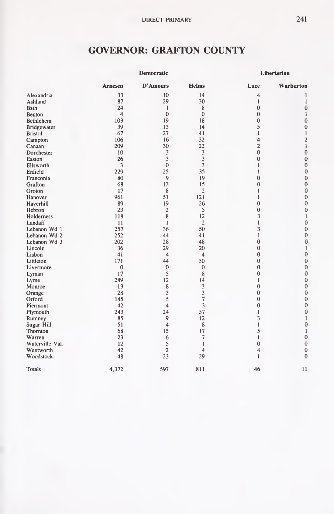# GOVERNOR: GRAFTON COUNTY

|                   |                         | Democratic     |                          |              | Libertarian             |  |
|-------------------|-------------------------|----------------|--------------------------|--------------|-------------------------|--|
|                   | Arnesen                 | D'Amours       | <b>Helms</b>             | Luce         | Warburton               |  |
| Alexandria        | 33                      | 10             | 14                       | 4            | 1                       |  |
| Ashland           | 87                      | 29             | 30                       | 1            | 1                       |  |
| Bath              | 24                      | 1              | 8                        | $\mathbf{0}$ | $\mathbf{0}$            |  |
| Benton            | $\overline{\mathbf{4}}$ | $\mathbf{0}$   | $\mathbf{0}$             | $\mathbf{0}$ | 1                       |  |
| Bethlehem         | 103                     | 19             | 18                       | $\theta$     | $\mathbf{0}$            |  |
| Bridgewater       | 39                      | 13             | 14                       | 5            | $\mathbf{0}$            |  |
| <b>Bristol</b>    | 67                      | 27             | 41                       | 1            | $\mathbf{1}$            |  |
| Campton           | 106                     | 16             | 32                       | 4            | $\overline{\mathbf{c}}$ |  |
| Canaan            | 209                     | 30             | 22                       | 2            | $\mathbf{1}$            |  |
| Dorchester        | 10                      | 3              | 3                        | $\bf{0}$     | $\bf{0}$                |  |
| Easton            | 26                      | 3              | 3                        | $\bf{0}$     | $\mathbf{0}$            |  |
| Ellsworth         | 3                       | $\bf{0}$       | 3                        | 1            | $\bf{0}$                |  |
| Enfield           | 229                     | 25             | 35                       | 1            | $\overline{0}$          |  |
| Franconia         | 80                      | 9              | 19                       | $\mathbf 0$  | $\bf{0}$                |  |
| Grafton           | 68                      | 13             | 15                       | $\theta$     | $\mathbf{0}$            |  |
| Groton            | 17                      | 8              | $\overline{2}$           | 1            | $\mathbf 0$             |  |
| Hanover           | 961                     | 51             | 121                      | 1            | $\mathbf{0}$            |  |
| Haverhill         | 89                      | 19             | 26                       | $\mathbf{0}$ | 0                       |  |
| Hebron            | 23                      | $\overline{2}$ | 5                        | $\theta$     | $\mathbf 0$             |  |
| <b>Holderness</b> | 118                     | 8              | 12                       | 3            | 1                       |  |
| Landaff           | 11                      | 1              | $\overline{2}$           | 1            | $\mathbf{0}$            |  |
| Lebanon Wd 1      | 257                     | 36             | 50                       | 3            | 0                       |  |
| Lebanon Wd 2      | 252                     | 44             | 41                       | 1            | $\mathbf{0}$            |  |
| Lebanon Wd 3      | 202                     | 28             | 48                       | $\mathbf{0}$ | $\mathbf{0}$            |  |
| Lincoln           | 36                      | 29             | 20                       | $\mathbf{0}$ | $\mathbf{1}$            |  |
| Lisbon            | 41                      | $\overline{4}$ | $\overline{\mathcal{A}}$ | $\mathbf{0}$ | $\mathbf{0}$            |  |
| Littleton         | 171                     | 44             | 50                       | $\theta$     | $\mathbf{0}$            |  |
| Livermore         | $\mathbf{0}$            | $\mathbf{0}$   | $\mathbf{0}$             | $\mathbf{0}$ | $\mathbf 0$             |  |
| Lyman             | 17                      | 5              | 8                        | $\mathbf{0}$ | $\mathbf 0$             |  |
| Lyme              | 289                     | 12             | 14                       | 1            | $\mathbf 0$             |  |
| Monroe            | 13                      | 8              | 3                        | $\theta$     | $\mathbf 0$             |  |
| Orange            | 28                      | 3              | 3                        | $\mathbf{0}$ | $\mathbf{0}$            |  |
| Orford            | 145                     | 5              |                          | $\mathbf{0}$ | $\mathbf{0}$            |  |
| Piermont          | 42                      | 4              | 3                        | $\theta$     | $\mathbf{0}$            |  |
| Plymouth          | 243                     | 24             | 57                       | 1            | $\mathbf{0}$            |  |
| Rumney            | 85                      | 9              | 12                       | 3            | $\mathbf{1}$            |  |
| Sugar Hill        | 51                      | 4              | 8                        | 1            | $\bf{0}$                |  |
| Thornton          | 68                      | 15             | 17                       | 5            | $\mathbf{1}$            |  |
| Warren            | 23                      | 6              | $\overline{\phantom{a}}$ | 1            | $\mathbf{0}$            |  |
| Waterville Val.   | 12                      | 5              | 1                        | $\mathbf{0}$ | $\boldsymbol{0}$        |  |
| Wentworth         | 42                      | $\overline{2}$ | 4                        | 4            | $\mathbf{0}$            |  |
| Woodstock         | 48                      | 23             | 29                       | 1            | $\theta$                |  |
| Totals            | 4,372                   | 597            | 811                      | 46           | 11                      |  |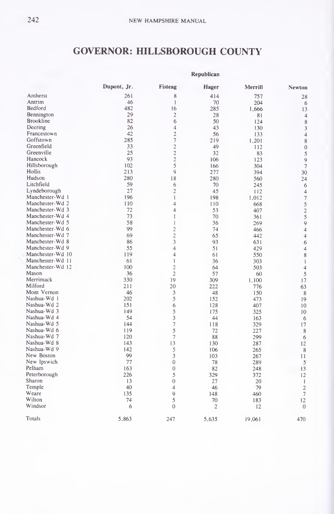#### GOVERNOR: HILLSBOROUGH COUNTY

|                  | Republican  |                         |                         |         |                |  |  |
|------------------|-------------|-------------------------|-------------------------|---------|----------------|--|--|
|                  | Dupont, Jr. | Fisteag                 | Hager                   | Merrill | Newton         |  |  |
| Amherst          | 261         | 8                       | 414                     | 757     | 28             |  |  |
| Antrim           | 46          | 1                       | 70                      | 204     | 6              |  |  |
| Bedford          | 482         | 16                      | 285                     | 1.666   | 13             |  |  |
| Bennington       | 29          | $\overline{c}$          | 28                      | 81      | 4              |  |  |
| <b>Brookline</b> | 82          | 6                       | 50                      | 124     | 8              |  |  |
| Deering          | 26          | $\overline{4}$          | 43                      | 130     | 3              |  |  |
| Francestown      | 42          | $\overline{2}$          | 56                      | 133     | $\overline{4}$ |  |  |
| Goffstown        | 285         | $\overline{7}$          | 219                     | 1,201   | 8              |  |  |
| Greenfield       | 33          | $\overline{c}$          | 49                      | 112     | $\overline{0}$ |  |  |
| Greenville       | 25          | $\overline{c}$          | 32                      | 83      | 5              |  |  |
| Hancock          | 93          | $\overline{c}$          | 106                     | 123     | 9              |  |  |
| Hillsborough     | 102         | 5                       | 166                     | 304     | $\overline{7}$ |  |  |
| Hollis           | 213         | 9                       | 277                     | 394     | 30             |  |  |
| Hudson           | 280         | 18                      | 280                     | 560     | 24             |  |  |
| Litchfield       | 59          | 6                       | 70                      | 245     | 6              |  |  |
| Lyndeborough     | 27          | $\overline{c}$          | 45                      | 112     | $\overline{4}$ |  |  |
| Manchester-Wd 1  | 196         | 1                       | 198                     | 1.012   | $\overline{7}$ |  |  |
| Manchester-Wd 2  | 110         | 4                       | 110                     | 668     | 5              |  |  |
| Manchester-Wd 3  | 72          | $\overline{\mathbf{4}}$ | 53                      | 407     |                |  |  |
| Manchester-Wd 4  | 73          | 1                       | 70                      | 361     | $rac{2}{5}$    |  |  |
| Manchester-Wd 5  | 58          | $\mathbf{1}$            | 36                      | 269     | $\overline{9}$ |  |  |
| Manchester-Wd 6  | 99          | $\overline{c}$          | 74                      |         | $\overline{4}$ |  |  |
| Manchester-Wd 7  | 69          | $\overline{2}$          | 65                      | 466     |                |  |  |
| Manchester-Wd 8  | 86          | 3                       | 93                      | 442     | $\overline{4}$ |  |  |
| Manchester-Wd 9  | 55          | $\overline{4}$          | 51                      | 631     | 6              |  |  |
| Manchester-Wd 10 | 119         | 4                       |                         | 429     | 4              |  |  |
| Manchester-Wd 11 | 61          |                         | 61                      | 550     | 8              |  |  |
| Manchester-Wd 12 | 100         | $\mathbf{1}$            | 36                      | 303     | $\mathbf{1}$   |  |  |
| Mason            |             | $\overline{c}$          | 64                      | 503     | $\overline{4}$ |  |  |
|                  | 36          | $\overline{c}$          | 57                      | 60      | 5              |  |  |
| Merrimack        | 330         | 19                      | 309                     | 1.100   | 17             |  |  |
| Milford          | 211         | 20                      | 222                     | 776     | 63             |  |  |
| Mont Vernon      | 46          | 3                       | 48                      | 150     | 8              |  |  |
| Nashua-Wd 1      | 202         | 5                       | 152                     | 473     | 19             |  |  |
| Nashua-Wd 2      | 151         | 6                       | 128                     | 407     | 10             |  |  |
| Nashua-Wd 3      | 149         | 5                       | 175                     | 325     | 10             |  |  |
| Nashua-Wd 4      | 54          | 3                       | 44                      | 163     | 6              |  |  |
| Nashua-Wd 5      | 144         | $\overline{7}$          | 118                     | 329     | 17             |  |  |
| Nashua-Wd 6      | 119         | 5                       | 72                      | 227     | 8              |  |  |
| Nashua-Wd 7      | 120         | $\overline{7}$          | 88                      | 299     | 6              |  |  |
| Nashua-Wd 8      | 143         | 13                      | 130                     | 287     | 12             |  |  |
| Nashua-Wd 9      | 142         | 5                       | 106                     | 265     | 8              |  |  |
| New Boston       | 99          | 3                       | 103                     | 267     | 11             |  |  |
| New Ipswich      | 77          | $\overline{0}$          | 78                      | 289     | 5              |  |  |
| Pelham           | 163         | $\overline{0}$          | 82                      | 248     | 13             |  |  |
| Peterborough     | 226         | 5                       | 329                     | 372     | 12             |  |  |
| Sharon           | 13          | $\overline{0}$          | 27                      | 20      | 1              |  |  |
| Temple           | 40          | 4                       | 46                      | 79      | $\overline{2}$ |  |  |
| Weare            | 135         | 9                       | 148                     | 460     | $\overline{7}$ |  |  |
| Wilton           | 74          | 5                       | 70                      | 183     | 12             |  |  |
| Windsor          | 6           | $\Omega$                | $\overline{\mathbf{c}}$ | 12      | $\overline{0}$ |  |  |
| Totals           | 5.863       | 247                     | 5.635                   | 19,061  | 470            |  |  |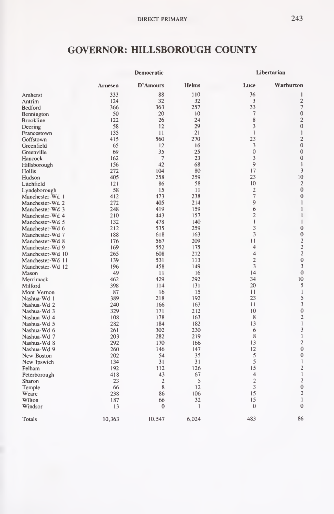#### GOVERNOR: HILLSBOROUGH COUNTY

|                  | Democratic     |                |              | Libertarian             |                         |  |
|------------------|----------------|----------------|--------------|-------------------------|-------------------------|--|
|                  | <b>Arnesen</b> | D'Amours       | <b>Helms</b> | Luce                    | Warburton               |  |
| Amherst          | 333            | 88             | 110          | 36                      | 1                       |  |
| Antrim           | 124            | 32             | 32           | 3                       | $\overline{c}$          |  |
| Bedford          | 366            | 363            | 257          | 33                      | $\overline{7}$          |  |
| Bennington       | 50             | 20             | 10           | $\overline{7}$          | $\bf{0}$                |  |
| <b>Brookline</b> | 122            | 26             | 24           | 8                       | $\overline{c}$          |  |
| Deering          | 58             | 12             | 29           | 3                       | $\overline{0}$          |  |
| Francestown      | 135            | 11             | 21           | $\mathbf{1}$            | $\mathbf{1}$            |  |
| Goffstown        | 415            | 560            | 270          | 23                      | $\overline{c}$          |  |
| Greenfield       | 65             | 12             | 16           | 3                       | $\overline{0}$          |  |
| Greenville       | 69             | 35             | 25           | $\overline{0}$          | $\mathbf{0}$            |  |
| Hancock          | 162            | $\overline{7}$ | 23           | 3                       | $\mathbf{0}$            |  |
| Hillsborough     | 156            | 42             | 68           | 9                       | $\mathbf{1}$            |  |
| Hollis           | 272            | 104            | 80           | 17                      | 3                       |  |
| Hudson           | 405            | 258            | 259          | 23                      | 10                      |  |
| Litchfield       | 121            | 86             | 58           | 10                      | $\overline{2}$          |  |
| Lyndeborough     | 58             | 15             | 11           | $\overline{\mathbf{c}}$ | $\mathbf{0}$            |  |
| Manchester-Wd 1  | 412            | 473            | 238          | 7                       | $\mathbf{0}$            |  |
| Manchester-Wd 2  | 272            | 405            | 214          | 9                       | 1                       |  |
| Manchester-Wd 3  | 248            | 419            | 159          | 6                       | $\mathbf{1}$            |  |
| Manchester-Wd 4  | 210            | 443            | 157          | $\overline{2}$          | $\mathbf{I}$            |  |
| Manchester-Wd 5  | 132            | 478            | 140          | $\mathbf{1}$            | 1                       |  |
| Manchester-Wd 6  | 212            | 535            | 259          | 3                       | $\mathbf{0}$            |  |
| Manchester-Wd 7  | 188            | 618            | 163          | 3                       | $\mathbf{0}$            |  |
| Manchester-Wd 8  | 176            | 567            | 209          | 11                      | $\overline{c}$          |  |
| Manchester-Wd 9  | 169            | 552            | 175          | $\overline{4}$          |                         |  |
| Manchester-Wd 10 | 265            | 608            | 212          | $\overline{\mathbf{4}}$ | $\frac{2}{2}$           |  |
| Manchester-Wd 11 | 139            | 531            | 113          | $\overline{2}$          | $\overline{0}$          |  |
|                  | 196            | 458            | 149          | 3                       | 3                       |  |
| Manchester-Wd 12 | 49             | 11             | 16           | 14                      | $\mathbf{0}$            |  |
| Mason            | 462            | 429            | 292          | 34                      | 10                      |  |
| Merrimack        |                |                |              | 20                      | 5                       |  |
| Milford          | 398            | 114            | 131          |                         | $\mathbf{1}$            |  |
| Mont Vernon      | 87             | 16             | 15           | 11<br>23                |                         |  |
| Nashua-Wd 1      | 389            | 218            | 192          |                         | 5<br>3                  |  |
| Nashua-Wd 2      | 240            | 166            | 163          | 11                      | $\mathbf{0}$            |  |
| Nashua-Wd 3      | 329            | 171            | 212          | 10                      |                         |  |
| Nashua-Wd 4      | 108            | 178            | 163          | 8                       | $\overline{c}$          |  |
| Nashua-Wd 5      | 282            | 184            | 182          | 13                      | $\,$ $\,$               |  |
| Nashua-Wd 6      | 261            | 302            | 230          | 6                       | 3                       |  |
| Nashua-Wd 7      | 203            | 282            | 219          | 8                       | 1                       |  |
| Nashua-Wd 8      | 292            | 170            | 166          | 13                      | $\overline{\mathbf{c}}$ |  |
| Nashua-Wd 9      | 260            | 146            | 147          | 12                      | $\overline{0}$          |  |
| New Boston       | 202            | 54             | 35           | 5                       | $\mathbf{0}$            |  |
| New Ipswich      | 134            | 31             | 31           | 5                       | $\mathbf{1}$            |  |
| Pelham           | 192            | 112            | 126          | 15                      | $\overline{c}$          |  |
| Peterborough     | 418            | 43             | 67           | $\overline{\mathbf{4}}$ | $\mathbf{1}$            |  |
| Sharon           | 23             | $\overline{2}$ | 5            | $\overline{c}$          | $\overline{\mathbf{c}}$ |  |
| Temple           | 66             | 8              | 12           | 3                       | $\overline{0}$          |  |
| Weare            | 238            | 86             | 106          | 15                      | $\overline{2}$          |  |
| Wilton           | 187            | 66             | 32           | 15                      | 1                       |  |
| Windsor          | 13             | $\Omega$       | $\mathbf{1}$ | $\mathbf{0}$            | $\mathbf{0}$            |  |
| Totals           | 10.363         | 10,547         | 6,024        | 483                     | 86                      |  |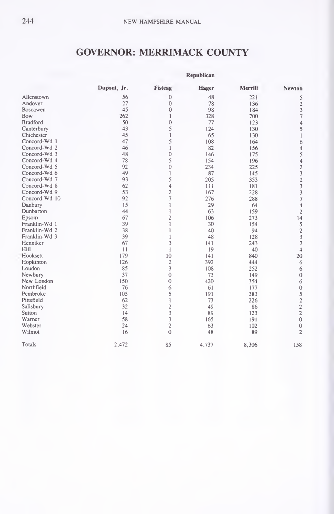### GOVERNOR: MERRIMACK COUNTY

|                 |             | Republican     |       |         |                                                 |  |  |  |  |
|-----------------|-------------|----------------|-------|---------|-------------------------------------------------|--|--|--|--|
|                 | Dupont, Jr. | Fisteag        | Hager | Merrill | <b>Newton</b>                                   |  |  |  |  |
| Allenstown      | 56          | 0              | 48    | 221     |                                                 |  |  |  |  |
| Andover         | 27          | $\mathbf{0}$   | 78    | 136     | $\begin{array}{c} 5 \\ 2 \\ 3 \\ 7 \end{array}$ |  |  |  |  |
| Boscawen        | 45          | $\mathbf{0}$   | 98    | 184     |                                                 |  |  |  |  |
| Bow             | 262         | 1              | 328   | 700     |                                                 |  |  |  |  |
| <b>Bradford</b> | 50          | $\mathbf{0}$   | 77    | 123     | $\overline{4}$                                  |  |  |  |  |
| Canterbury      | 43          | 5              | 124   | 130     | 5                                               |  |  |  |  |
| Chichester      | 45          | 1              | 65    | 130     | $\,$ $\,$                                       |  |  |  |  |
| Concord-Wd 1    | 47          | 5              | 108   | 164     | 6                                               |  |  |  |  |
| Concord-Wd 2    | 46          | $\mathbf{1}$   | 82    | 156     |                                                 |  |  |  |  |
| Concord-Wd 3    | 48          | $\overline{0}$ | 146   | 175     |                                                 |  |  |  |  |
| Concord-Wd 4    | 78          | 5              | 154   | 196     |                                                 |  |  |  |  |
| Concord-Wd 5    | 92          | $\mathbf{0}$   | 234   | 225     |                                                 |  |  |  |  |
| Concord-Wd 6    | 49          | 1              | 87    | 145     |                                                 |  |  |  |  |
| Concord-Wd 7    | 93          | 5              | 205   | 353     |                                                 |  |  |  |  |
| Concord-Wd 8    | 62          | 4              | 111   | 181     |                                                 |  |  |  |  |
| Concord-Wd 9    | 53          | $\overline{c}$ | 167   | 228     |                                                 |  |  |  |  |
| Concord-Wd 10   | 92          | 7              | 276   | 288     | 45423237                                        |  |  |  |  |
| Danbury         | 15          | 1              | 29    | 64      | $\overline{4}$                                  |  |  |  |  |
| Dunbarton       | 44          | 1              | 63    | 159     | $\overline{\mathbf{c}}$                         |  |  |  |  |
| Epsom           | 67          | $\overline{2}$ | 106   | 273     | $\frac{1}{4}$                                   |  |  |  |  |
| Franklin-Wd 1   | 39          | 1              | 30    | 154     |                                                 |  |  |  |  |
| Franklin-Wd 2   | 38          | 1              | 40    | 94      | $\begin{array}{c} 5 \\ 2 \\ 3 \\ 7 \end{array}$ |  |  |  |  |
| Franklin-Wd 3   | 39          | 1              | 48    | 128     |                                                 |  |  |  |  |
| Henniker        | 67          | 3              | 141   | 243     |                                                 |  |  |  |  |
| Hill            | 11          | 1              | 19    | 40      | $\overline{4}$                                  |  |  |  |  |
| Hooksett        | 179         | 10             | 141   | 840     | 20                                              |  |  |  |  |
| Hopkinton       | 126         | $\overline{c}$ | 392   | 444     | 6                                               |  |  |  |  |
| Loudon          | 85          | 3              | 108   | 252     | $\boldsymbol{6}$                                |  |  |  |  |
| Newbury         | 37          | $\mathbf{0}$   | 73    | 149     | $\mathbf{0}$                                    |  |  |  |  |
| New London      | 150         | 0              | 420   | 354     |                                                 |  |  |  |  |
| Northfield      | 76          | 6              | 61    | 177     | 6052220                                         |  |  |  |  |
| Pembroke        | 105         | 5              | 191   | 383     |                                                 |  |  |  |  |
| Pittsfield      | 62          | 1              | 73    | 226     |                                                 |  |  |  |  |
| Salisbury       | 32          |                | 49    | 86      |                                                 |  |  |  |  |
| Sutton          | 14          | $\frac{2}{3}$  | 89    | 123     |                                                 |  |  |  |  |
| Warner          | 58          | 3              | 165   | 191     |                                                 |  |  |  |  |
| Webster         | 24          | $\overline{c}$ | 63    | 102     | $\boldsymbol{0}$                                |  |  |  |  |
| Wilmot          | 16          | $\overline{0}$ | 48    | 89      | $\overline{c}$                                  |  |  |  |  |
| Totals          | 2.472       | 85             | 4,737 | 8,306   | 158                                             |  |  |  |  |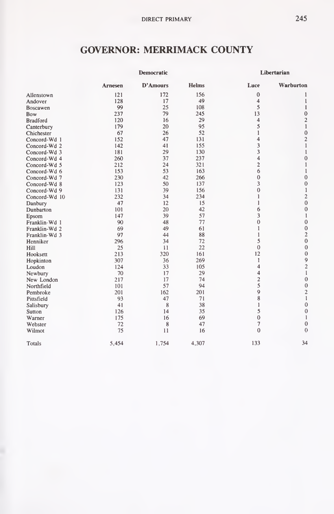## GOVERNOR: MERRIMACK COUNTY

|                 |         | Democratic |       |                         | Libertarian             |
|-----------------|---------|------------|-------|-------------------------|-------------------------|
|                 | Arnesen | D'Amours   | Helms | Luce                    | Warburton               |
| Allenstown      | 121     | 172        | 156   | $\mathbf{0}$            |                         |
| Andover         | 128     | 17         | 49    | 4                       | 1                       |
| Boscawen        | 99      | 25         | 108   | 5                       | 1                       |
| Bow             | 237     | 79         | 245   | 13                      | $\mathbf{0}$            |
| <b>Bradford</b> | 120     | 16         | 29    | 4                       | $\overline{c}$          |
| Canterbury      | 179     | 20         | 95    | 5                       | 1                       |
| Chichester      | 67      | 26         | 52    | ı                       | $\mathbf 0$             |
| Concord-Wd 1    | 152     | 47         | 131   | $\overline{\mathbf{4}}$ | $\overline{c}$          |
| Concord-Wd 2    | 142     | 41         | 155   | 3                       | $\mathbf{1}$            |
| Concord-Wd 3    | 181     | 29         | 130   | 3                       | 1                       |
| Concord-Wd 4    | 260     | 37         | 237   | 4                       | $\mathbf{0}$            |
| Concord-Wd 5    | 212     | 24         | 321   | $\overline{\mathbf{c}}$ | 1                       |
| Concord-Wd 6    | 153     | 53         | 163   | 6                       | 1                       |
| Concord-Wd 7    | 230     | 42         | 266   | $\theta$                | $\mathbf{0}$            |
| Concord-Wd 8    | 123     | 50         | 137   | 3                       | $\bf{0}$                |
| Concord-Wd 9    | 131     | 39         | 156   | $\theta$                | $\mathbf{1}$            |
| Concord-Wd 10   | 232     | 34         | 234   | 1                       | $\overline{c}$          |
| Danbury         | 47      | 12         | 15    | 1                       | $\overline{0}$          |
| Dunbarton       | 101     | 20         | 42    | 6                       | $\mathbf{0}$            |
| Epsom           | 147     | 39         | 57    | 3                       | 1                       |
| Franklin-Wd 1   | 90      | 48         | 77    | $\theta$                | $\mathbf{0}$            |
| Franklin-Wd 2   | 69      | 49         | 61    | 1                       | $\mathbf{0}$            |
| Franklin-Wd 3   | 97      | 44         | 88    | 1                       | $\overline{c}$          |
| Henniker        | 296     | 34         | 72    | 5                       | $\mathbf{0}$            |
| Hill            | 25      | 11         | 22    | $\Omega$                | $\mathbf{0}$            |
| Hooksett        | 213     | 320        | 161   | 12                      | $\mathbf{0}$            |
| Hopkinton       | 307     | 36         | 269   | 1                       | 9                       |
| Loudon          | 124     | 33         | 105   | 4                       | $\overline{\mathbf{c}}$ |
| Newbury         | 70      | 17         | 29    | 4                       | $\mathbf{1}$            |
| New London      | 217     | 17         | 74    | $\overline{2}$          | $\mathbf{0}$            |
| Northfield      | 101     | 57         | 94    | 5                       | $\boldsymbol{0}$        |
| Pembroke        | 201     | 162        | 201   | 9                       | $\frac{2}{1}$           |
| Pittsfield      | 93      | 47         | 71    | 8                       |                         |
| Salisbury       | 41      | 8          | 38    | 1                       | $\mathbf{0}$            |
| Sutton          | 126     | 14         | 35    | 5                       | $\mathbf{0}$            |
| Warner          | 175     | 16         | 69    | $\bf{0}$                |                         |
| Webster         | 72      | 8          | 47    | $\overline{7}$          | $\mathbf{0}$            |
| Wilmot          | 75      | 11         | 16    | $\theta$                | $\overline{0}$          |
| Totals          | 5,454   | 1,754      | 4,307 | 133                     | 34                      |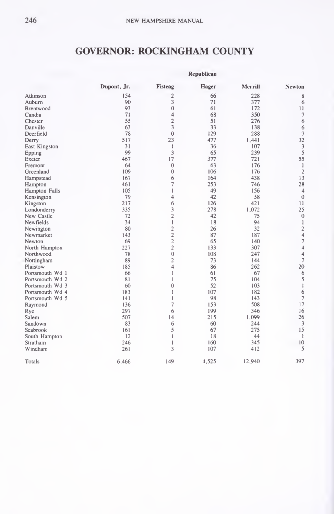## GOVERNOR: ROCKINGHAM COUNTY

|                 |             |                         | Kepublican |         |                          |
|-----------------|-------------|-------------------------|------------|---------|--------------------------|
|                 | Dupont, Jr. | Fisteag                 | Hager      | Merrill | <b>Newton</b>            |
| Atkinson        | 154         | $\overline{\mathbf{c}}$ | 66         | 228     | 8                        |
| Auburn          | 90          | 3                       | 71         | 377     | 6                        |
| Brentwood       | 93          | $\mathbf{0}$            | 61         | 172     | 11                       |
| Candia          | 71          | 4                       | 68         | 350     | $\boldsymbol{7}$         |
| Chester         | 55          | $\overline{2}$          | 51         | 276     | 6                        |
| Danville        | 63          | 3                       | 33         | 138     | 6                        |
| Deerfield       | 78          | $\mathbf 0$             | 129        | 288     | $\overline{7}$           |
| Derry           | 517         | 23                      | 477        | 1.441   | 32                       |
| East Kingston   | 31          | $\mathbf{1}$            | 36         | 107     | $\overline{\mathbf{3}}$  |
| Epping          | 99          | 3                       | 65         | 239     | 5                        |
| Exeter          | 467         | 17                      | 377        | 721     | 55                       |
| Fremont         | 64          | $\mathbf{0}$            | 63         | 176     | $\mathbf{1}$             |
| Greenland       | 109         | $\overline{0}$          | 106        | 176     | $\overline{2}$           |
| Hampstead       | 167         | 6                       | 164        | 438     | 13                       |
| Hampton         | 461         | $\overline{7}$          | 253        | 746     | 28                       |
| Hampton Falls   | 105         | 1                       | 49         | 156     | $\overline{4}$           |
| Kensington      | 79          | 4                       | 42         | 58      | $\theta$                 |
| Kingston        | 217         | 6                       | 126        | 421     | 11                       |
| Londonderry     | 335         | 3                       | 278        | 1,072   | 25                       |
| New Castle      | 72          | $\overline{2}$          | 42         | 75      | $\theta$                 |
| Newfields       | 34          | 1                       | 18         | 94      | $\mathbf{1}$             |
| Newington       | 80          | $\overline{2}$          | 26         | 32      | $\overline{\mathbf{c}}$  |
| Newmarket       | 143         | $\overline{c}$          | 87         | 187     | $\overline{4}$           |
| Newton          | 69          | $\overline{c}$          | 65         | 140     | $\overline{\mathcal{I}}$ |
| North Hampton   | 227         | $\overline{\mathbf{c}}$ | 133        | 307     | $\overline{4}$           |
| Northwood       | 78          | $\overline{0}$          | 108        | 247     | $\overline{4}$           |
| Nottingham      | 89          | $\overline{2}$          | 73         | 144     |                          |
| Plaistow        | 185         | 4                       | 86         | 262     | 20                       |
| Portsmouth Wd 1 | 66          | 1                       | 61         | 67      | 6                        |
| Portsmouth Wd 2 | 81          | ŀ                       | 75         | 104     | 5                        |
| Portsmouth Wd 3 | 60          | $\mathbf{0}$            | 52         | 103     | $\mathbf{1}$             |
| Portsmouth Wd 4 | 183         | 1                       | 107        | 182     | 6                        |
| Portsmouth Wd 5 | 141         | 1                       | 98         | 143     | $\overline{\phantom{a}}$ |
| Raymond         | 136         | $\overline{7}$          | 153        | 508     | 17                       |
| Rye             | 297         | 6                       | 199        | 346     | 16                       |
| Salem           | 507         | 14                      | 215        | 1,099   | 26                       |
| Sandown         | 83          | 6                       | 60         | 244     | $\overline{3}$           |
| Seabrook        | 161         | 5                       | 67         | 275     | 15                       |
| South Hampton   | 12          | 1                       | 18         | 44      | 1                        |
| Stratham        | 246         | ł                       | 160        | 345     | 10                       |
| Windham         | 261         | 3                       | 107        | 412     | 5                        |
| Totals          | 6,466       | 149                     | 4,525      | 12,940  | 397                      |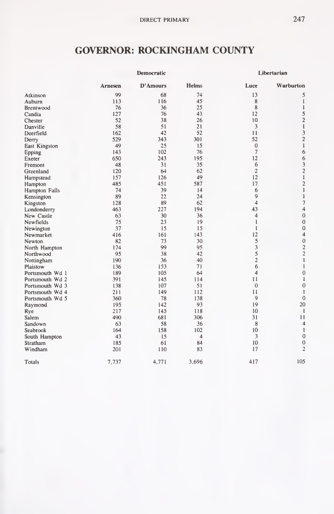#### GOVERNOR: ROCKINGHAM COUNTY

|                 |         | Democratic |                         |                         | Libertarian              |  |  |
|-----------------|---------|------------|-------------------------|-------------------------|--------------------------|--|--|
|                 | Arnesen | D'Amours   | Helms                   | Luce                    | Warburton                |  |  |
| Atkinson        | 99      | 68         | 74                      | 13                      | 5                        |  |  |
| Auburn          | 113     | 116        | 45                      | 8                       | 1                        |  |  |
| Brentwood       | 76      | 36         | 25                      | $\,$ 8 $\,$             | $\mathbf{1}$             |  |  |
| Candia          | 127     | 76         | 43                      | 12                      | 5                        |  |  |
| Chester         | 52      | 38         | 26                      | 10                      | $\overline{c}$           |  |  |
| Danville        | 58      | 51         | 21                      | 3                       | $\mathbf{1}$             |  |  |
| Deerfield       | 162     | 42         | 52                      | Ħ                       | 3                        |  |  |
| Derry           | 529     | 343        | 301                     | 52                      | $\overline{2}$           |  |  |
| East Kingston   | 49      | 25         | 15                      | $\mathbf{0}$            | $\mathbf{1}$             |  |  |
| Epping          | 143     | 102        | 76                      | $\overline{7}$          | 6                        |  |  |
| Exeter          | 650     | 243        | 195                     | 12                      | 6                        |  |  |
| Fremont         | 48      | 31         | 35                      | 6                       | $\frac{3}{2}$            |  |  |
| Greenland       | 120     | 64         | 62                      | $\overline{2}$          |                          |  |  |
| Hampstead       | 157     | 126        | 49                      | 12                      | I                        |  |  |
| Hampton         | 485     | 451        | 587                     | 17                      | $\overline{c}$           |  |  |
| Hampton Falls   | 74      | 39         | 14                      | 6                       | $\mathbf{1}$             |  |  |
| Kensington      | 89      | 22         | 24                      | 9                       | 1                        |  |  |
| Kingston        | 128     | 89         | 62                      | $\overline{\mathbf{4}}$ | $\overline{\phantom{a}}$ |  |  |
| Londonderry     | 463     | 227        | 194                     | 43                      | 4                        |  |  |
| New Castle      | 63      | 30         | 36                      | $\overline{4}$          | $\mathbf{0}$             |  |  |
| Newfields       | 75      | 23         | 19                      | 1                       | $\bf{0}$                 |  |  |
| Newington       | 37      | 15         | 15                      | $\mathbf{1}$            | $\mathbf{0}$             |  |  |
| Newmarket       | 416     | 161        | 143                     | 12                      | $\overline{4}$           |  |  |
| Newton          | 82      | 73         | 30                      | 5                       | $\mathbf{0}$             |  |  |
| North Hampton   | 174     | 99         | 95                      | 3                       | $\overline{c}$           |  |  |
| Northwood       | 95      | 38         | 42                      | 5                       | $\overline{2}$           |  |  |
| Nottingham      | 190     | 36         | 40                      | $\overline{2}$          | $\mathbf{1}$             |  |  |
| Plaistow        | 136     | 153        | 71                      | 6                       | $\mathbf{1}$             |  |  |
| Portsmouth Wd 1 | 189     | 105        | 64                      | 4                       | $\mathbf{0}$             |  |  |
| Portsmouth Wd 2 | 391     | 145        | 114                     | 11                      | 1                        |  |  |
| Portsmouth Wd 3 | 138     | 107        | 51                      | $\theta$                | $\bf{0}$                 |  |  |
| Portsmouth Wd 4 | 211     | 149        | 112                     | 11                      | 1                        |  |  |
| Portsmouth Wd 5 | 360     | 78         | 138                     | 9                       | $\overline{0}$           |  |  |
| Raymond         | 195     | 142        | 93                      | 19                      | 20                       |  |  |
| Rye             | 217     | 145        | 118                     | 10                      | $\mathbf{1}$             |  |  |
| Salem           | 490     | 681        | 306                     | 31                      | 11                       |  |  |
| Sandown         | 63      | 58         | 36                      | 8                       | $\overline{4}$           |  |  |
| Seabrook        | 164     | 158        | 102                     | 10                      | $\mathbf{1}$             |  |  |
| South Hampton   | 43      | 15         | $\overline{\mathbf{4}}$ | 3                       | $\mathbf 0$              |  |  |
| Stratham        | 185     | 61         | 84                      | 10                      | $\mathbf{0}$             |  |  |
| Windham         | 201     | 110        | 83                      | 17                      | $\overline{c}$           |  |  |
| Totals          | 7,737   | 4,771      | 3.696                   | 417                     | 105                      |  |  |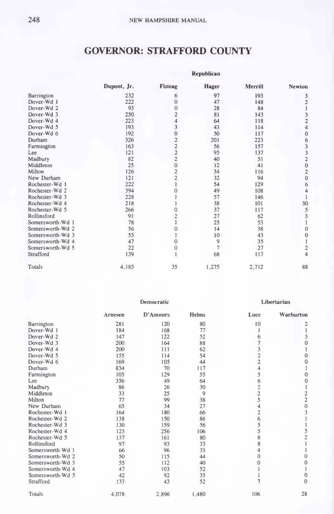#### GOVERNOR: STRAFFORD COUNTY

|                  | <b>Kepublican</b> |                |                |         |                                            |  |  |  |
|------------------|-------------------|----------------|----------------|---------|--------------------------------------------|--|--|--|
|                  | Dupont, Jr.       | Fisteag        | <b>Hager</b>   | Merrili | Newton                                     |  |  |  |
| Barrington       | 232               | 6              | 97             | 193     | 3                                          |  |  |  |
| Dover-Wd 1       | 222               | $\theta$       | 47             | 148     | $\overline{\mathbf{c}}$                    |  |  |  |
| Dover-Wd 2       | 93                | $\Omega$       | 28             | 84      | ı                                          |  |  |  |
| Dover-Wd 3       | 250               | $\overline{c}$ | 81             | 143     | 3                                          |  |  |  |
| Dover-Wd 4       | 223               | 4              | 64             | 118     | $\overline{c}$                             |  |  |  |
| Dover-Wd 5       | 193               | 3              | 43             | 114     | 4                                          |  |  |  |
| Dover-Wd 6       | 192               | 0              | 50             | 117     | $\mathbf{0}$                               |  |  |  |
| Durham           | 326               | 2              | 201            | 223     | 6                                          |  |  |  |
| Farmington       | 163               | $\overline{2}$ | 56             | 157     |                                            |  |  |  |
| Lee              | 121               | $\overline{c}$ | 95             | 137     | $\begin{array}{c} 3 \\ 3 \\ 2 \end{array}$ |  |  |  |
| Madbury          | 82                | $\overline{c}$ | 40             | 51      |                                            |  |  |  |
| Middleton        | 25                | $\theta$       | 12             | 41      | $\overline{0}$                             |  |  |  |
| Milton           | 126               | $\overline{c}$ | 34             | 116     | $\frac{2}{0}$                              |  |  |  |
| New Durham       | 121               | $\overline{2}$ | 32             | 94      |                                            |  |  |  |
| Rochester-Wd 1   | 222               |                | 54             | 129     | 6                                          |  |  |  |
| Rochester-Wd 2   | 394               |                | 49             | 108     | 4                                          |  |  |  |
| Rochester-Wd 3   | 228               |                | 57             | 146     |                                            |  |  |  |
| Rochester-Wd 4   | 218               |                | 38             | 101     | 30                                         |  |  |  |
| Rochester-Wd 5   | 266               |                | 37             | 117     | 5                                          |  |  |  |
| Rollinsford      | 91                |                | 27             | 62      | 3                                          |  |  |  |
| Somersworth-Wd 1 | 78                |                | 25             | 53      |                                            |  |  |  |
| Somersworth-Wd 2 | 56                |                | 14             | 38      | $\mathbf{0}$                               |  |  |  |
| Somersworth-Wd 3 | 55                |                | 10             | 43      | $\overline{0}$                             |  |  |  |
| Somersworth-Wd 4 | 47                | Ω              | 9              | 35      |                                            |  |  |  |
| Somersworth-Wd 5 | 22                | 0              | $\overline{7}$ | 27      | $\overline{2}$                             |  |  |  |
| Strafford        | 139               |                | 68             | 117     | 4                                          |  |  |  |
| Totals           | 4,185             | 35             | 1,275          | 2,712   | 88                                         |  |  |  |

|                  |         | Democratic |       |                         | Libertarian                                |
|------------------|---------|------------|-------|-------------------------|--------------------------------------------|
|                  | Arnesen | D'Amours   | Helms | Luce                    | Warburton                                  |
| Barrington       | 281     | 120        | 80    | 10                      | 2                                          |
| Dover-Wd 1       | 184     | 168        | 77    | 1                       | 1                                          |
| Dover-Wd 2       | 147     | 122        | 52    | 6                       | 3                                          |
| Dover-Wd 3       | 200     | 164        | 88    |                         | $\overline{0}$                             |
| Dover-Wd 4       | 200     | 111        | 62    | 3                       |                                            |
| Dover-Wd 5       | 155     | 114        | 54    | $\overline{c}$          | $\mathbf{0}$                               |
| Dover-Wd 6       | 169     | 105        | 44    | $\overline{c}$          | $\theta$                                   |
| Durham           | 834     | 70         | 117   | 4                       |                                            |
| Farmington       | 105     | 129        | 55    | 5                       | $\mathbf{0}$                               |
| Lee              | 356     | 49         | 64    | 6                       | $\overline{0}$                             |
| Madbury          | 86      | 26         | 30    | $\overline{\mathbf{c}}$ | 1                                          |
| Middleton        | 33      | 25         | 9     | $\overline{c}$          |                                            |
| Milton           | 77      | 99         | 38    | 5                       | $\begin{array}{c} 2 \\ 2 \\ 0 \end{array}$ |
| New Durham       | 65      | 34         | 27    |                         |                                            |
| Rochester-Wd 1   | 164     | 180        | 66    | $\overline{c}$          | $\overline{\mathbf{3}}$                    |
| Rochester-Wd 2   | 138     | 150        | 86    | 6                       |                                            |
| Rochester-Wd 3   | 130     | 159        | 56    | 5                       |                                            |
| Rochester-Wd 4   | 123     | 256        | 106   | 5                       | $\frac{5}{2}$                              |
| Rochester-Wd 5   | 137     | 161        | 80    | 8                       |                                            |
| Rollinsford      | 97      | 93         | 33    | 8                       | 1                                          |
| Somersworth-Wd 1 | 66      | 96         | 33    | 4                       |                                            |
| Somersworth-Wd 2 | 50      | 115        | 44    | $\Omega$                | 0                                          |
| Somersworth-Wd 3 | 55      | 112        | 40    | 0                       | $\mathbf{0}$                               |
| Somersworth-Wd 4 | 47      | 103        | 52    |                         |                                            |
| Somersworth-Wd 5 | 42      | 92         | 35    |                         | $\mathbf{0}$                               |
| Strafford        | 137     | 43         | 52    |                         | $\theta$                                   |
| Totals           | 4.078   | 2.896      | 1.480 | 106                     | 28                                         |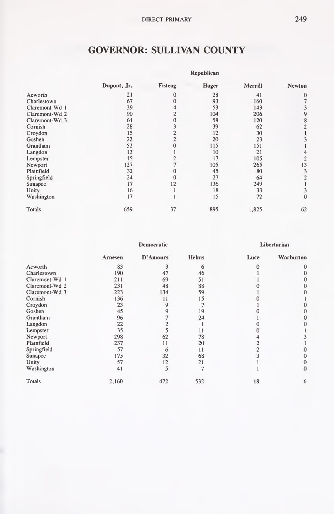# GOVERNOR: SULLIVAN COUNTY

|                | Republican  |         |              |         |                |  |  |  |
|----------------|-------------|---------|--------------|---------|----------------|--|--|--|
|                | Dupont, Jr. | Fisteag | <b>Hager</b> | Merrill | <b>Newton</b>  |  |  |  |
| Acworth        | 21          | 0       | 28           | 41      | $\bf{0}$       |  |  |  |
| Charlestown    | 67          |         | 93           | 160     | $\overline{7}$ |  |  |  |
| Claremont-Wd 1 | 39          |         | 53           | 143     | 3              |  |  |  |
| Claremont-Wd 2 | 90          |         | 104          | 206     | 9              |  |  |  |
| Claremont-Wd 3 | 64          |         | 58           | 120     | 8              |  |  |  |
| Cornish        | 28          |         | 39           | 62      | $\overline{2}$ |  |  |  |
| Croydon        | 15          |         | 12           | 30      |                |  |  |  |
| Goshen         | 22          |         | 20           | 23      | 3              |  |  |  |
| Grantham       | 52          |         | 115          | 151     |                |  |  |  |
| Langdon        | 13          |         | 10           | 21      | 4              |  |  |  |
| Lempster       | 15          |         | 17           | 105     | $\overline{c}$ |  |  |  |
| Newport        | 127         |         | 105          | 265     | 13             |  |  |  |
| Plainfield     | 32          |         | 45           | 80      | 3              |  |  |  |
| Springfield    | 24          |         | 27           | 64      | $\overline{c}$ |  |  |  |
| Sunapee        | 17          | 12      | 136          | 249     |                |  |  |  |
| Unity          | 16          |         | 18           | 33      | 3              |  |  |  |
| Washington     | 17          |         | 15           | 72      | 0              |  |  |  |
| Totals         | 659         | 37      | 895          | 1,825   | 62             |  |  |  |

|                |         | Democratic |       |      | Libertarian |
|----------------|---------|------------|-------|------|-------------|
|                | Arnesen | D'Amours   | Helms | Luce | Warburton   |
| Acworth        | 83      |            | 6     |      | $\bf{0}$    |
| Charlestown    | 190     | 47         | 46    |      | 0           |
| Claremont-Wd 1 | 211     | 69         | 51    |      | 0           |
| Claremont-Wd 2 | 231     | 48         | 88    |      | $\theta$    |
| Claremont-Wd 3 | 223     | 134        | 59    |      | 0           |
| Cornish        | 136     | 11         | 15    |      |             |
| Croydon        | 23      |            |       |      |             |
| Goshen         | 45      |            | 19    |      | 0           |
| Grantham       | 96      |            | 24    |      | 0           |
| Langdon        | 22      |            |       |      | 0           |
| Lempster       | 35      |            | 11    |      |             |
| Newport        | 298     | 62         | 78    |      |             |
| Plainfield     | 237     | 11         | 20    |      |             |
| Springfield    | 57      | 6          | 11    |      |             |
| Sunapee        | 175     | 32         | 68    |      | 0           |
| Unity          | 57      | 12         | 21    |      |             |
| Washington     | 41      | 5          |       |      | $\theta$    |
| Totals         | 2.160   | 472        | 532   | 18   | 6           |